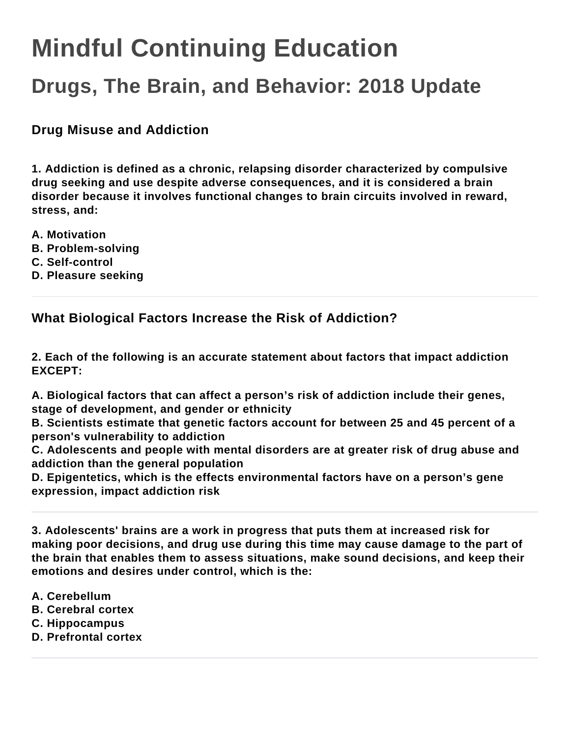# **Mindful Continuing Education**

## **Drugs, The Brain, and Behavior: 2018 Update**

**Drug Misuse and Addiction**

**1. Addiction is defined as a chronic, relapsing disorder characterized by compulsive drug seeking and use despite adverse consequences, and it is considered a brain disorder because it involves functional changes to brain circuits involved in reward, stress, and:**

- **A. Motivation**
- **B. Problem-solving**
- **C. Self-control**
- **D. Pleasure seeking**

**What Biological Factors Increase the Risk of Addiction?**

**2. Each of the following is an accurate statement about factors that impact addiction EXCEPT:**

**A. Biological factors that can affect a person's risk of addiction include their genes, stage of development, and gender or ethnicity**

**B. Scientists estimate that genetic factors account for between 25 and 45 percent of a person's vulnerability to addiction**

**C. Adolescents and people with mental disorders are at greater risk of drug abuse and addiction than the general population**

**D. Epigentetics, which is the effects environmental factors have on a person's gene expression, impact addiction risk**

**3. Adolescents' brains are a work in progress that puts them at increased risk for making poor decisions, and drug use during this time may cause damage to the part of the brain that enables them to assess situations, make sound decisions, and keep their emotions and desires under control, which is the:**

- **A. Cerebellum**
- **B. Cerebral cortex**
- **C. Hippocampus**
- **D. Prefrontal cortex**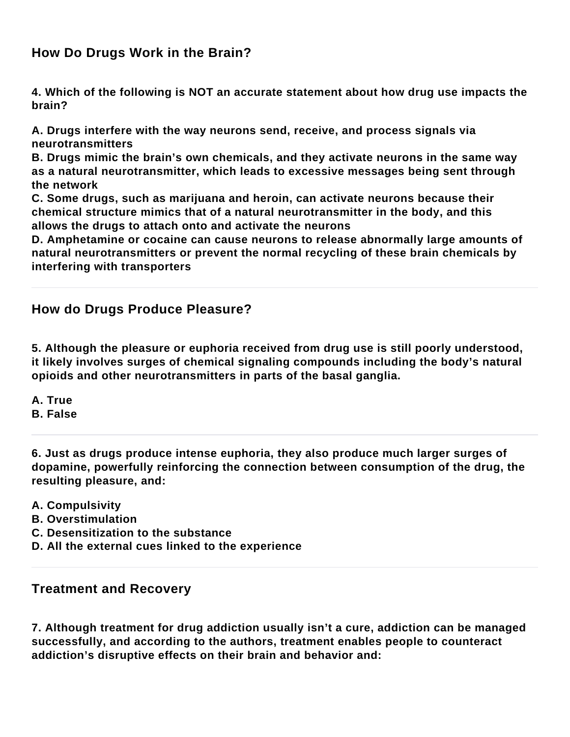### **How Do Drugs Work in the Brain?**

**4. Which of the following is NOT an accurate statement about how drug use impacts the brain?**

**A. Drugs interfere with the way neurons send, receive, and process signals via neurotransmitters**

**B. Drugs mimic the brain's own chemicals, and they activate neurons in the same way as a natural neurotransmitter, which leads to excessive messages being sent through the network**

**C. Some drugs, such as marijuana and heroin, can activate neurons because their chemical structure mimics that of a natural neurotransmitter in the body, and this allows the drugs to attach onto and activate the neurons**

**D. Amphetamine or cocaine can cause neurons to release abnormally large amounts of natural neurotransmitters or prevent the normal recycling of these brain chemicals by interfering with transporters**

#### **How do Drugs Produce Pleasure?**

**5. Although the pleasure or euphoria received from drug use is still poorly understood, it likely involves surges of chemical signaling compounds including the body's natural opioids and other neurotransmitters in parts of the basal ganglia.**

**A. True**

**B. False**

**6. Just as drugs produce intense euphoria, they also produce much larger surges of dopamine, powerfully reinforcing the connection between consumption of the drug, the resulting pleasure, and:**

- **A. Compulsivity**
- **B. Overstimulation**
- **C. Desensitization to the substance**
- **D. All the external cues linked to the experience**

#### **Treatment and Recovery**

**7. Although treatment for drug addiction usually isn't a cure, addiction can be managed successfully, and according to the authors, treatment enables people to counteract addiction's disruptive effects on their brain and behavior and:**